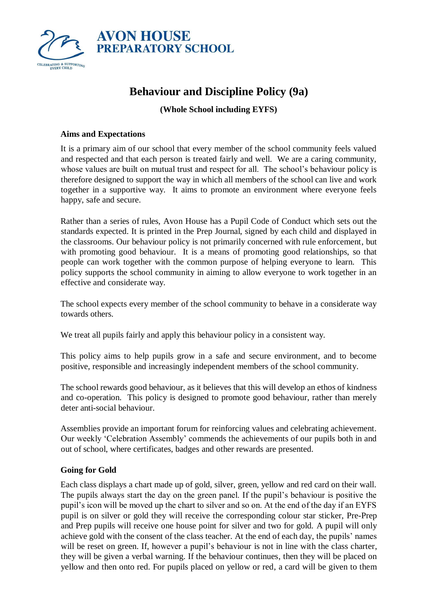

# **Behaviour and Discipline Policy (9a)**

# **(Whole School including EYFS)**

## **Aims and Expectations**

It is a primary aim of our school that every member of the school community feels valued and respected and that each person is treated fairly and well. We are a caring community, whose values are built on mutual trust and respect for all. The school's behaviour policy is therefore designed to support the way in which all members of the school can live and work together in a supportive way. It aims to promote an environment where everyone feels happy, safe and secure.

Rather than a series of rules, Avon House has a Pupil Code of Conduct which sets out the standards expected. It is printed in the Prep Journal, signed by each child and displayed in the classrooms. Our behaviour policy is not primarily concerned with rule enforcement, but with promoting good behaviour. It is a means of promoting good relationships, so that people can work together with the common purpose of helping everyone to learn. This policy supports the school community in aiming to allow everyone to work together in an effective and considerate way.

The school expects every member of the school community to behave in a considerate way towards others.

We treat all pupils fairly and apply this behaviour policy in a consistent way.

This policy aims to help pupils grow in a safe and secure environment, and to become positive, responsible and increasingly independent members of the school community.

The school rewards good behaviour, as it believes that this will develop an ethos of kindness and co-operation. This policy is designed to promote good behaviour, rather than merely deter anti-social behaviour.

Assemblies provide an important forum for reinforcing values and celebrating achievement. Our weekly 'Celebration Assembly' commends the achievements of our pupils both in and out of school, where certificates, badges and other rewards are presented.

# **Going for Gold**

Each class displays a chart made up of gold, silver, green, yellow and red card on their wall. The pupils always start the day on the green panel. If the pupil's behaviour is positive the pupil's icon will be moved up the chart to silver and so on. At the end of the day if an EYFS pupil is on silver or gold they will receive the corresponding colour star sticker, Pre-Prep and Prep pupils will receive one house point for silver and two for gold. A pupil will only achieve gold with the consent of the class teacher. At the end of each day, the pupils' names will be reset on green. If, however a pupil's behaviour is not in line with the class charter, they will be given a verbal warning. If the behaviour continues, then they will be placed on yellow and then onto red. For pupils placed on yellow or red, a card will be given to them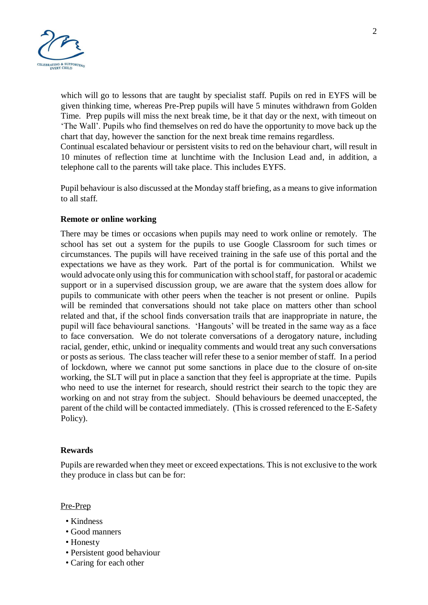

which will go to lessons that are taught by specialist staff. Pupils on red in EYFS will be given thinking time, whereas Pre-Prep pupils will have 5 minutes withdrawn from Golden Time. Prep pupils will miss the next break time, be it that day or the next, with timeout on 'The Wall'. Pupils who find themselves on red do have the opportunity to move back up the chart that day, however the sanction for the next break time remains regardless.

Continual escalated behaviour or persistent visits to red on the behaviour chart, will result in 10 minutes of reflection time at lunchtime with the Inclusion Lead and, in addition, a telephone call to the parents will take place. This includes EYFS.

Pupil behaviour is also discussed at the Monday staff briefing, as a means to give information to all staff.

### **Remote or online working**

There may be times or occasions when pupils may need to work online or remotely. The school has set out a system for the pupils to use Google Classroom for such times or circumstances. The pupils will have received training in the safe use of this portal and the expectations we have as they work. Part of the portal is for communication. Whilst we would advocate only using this for communication with school staff, for pastoral or academic support or in a supervised discussion group, we are aware that the system does allow for pupils to communicate with other peers when the teacher is not present or online. Pupils will be reminded that conversations should not take place on matters other than school related and that, if the school finds conversation trails that are inappropriate in nature, the pupil will face behavioural sanctions. 'Hangouts' will be treated in the same way as a face to face conversation. We do not tolerate conversations of a derogatory nature, including racial, gender, ethic, unkind or inequality comments and would treat any such conversations or posts as serious. The class teacher will refer these to a senior member of staff. In a period of lockdown, where we cannot put some sanctions in place due to the closure of on-site working, the SLT will put in place a sanction that they feel is appropriate at the time. Pupils who need to use the internet for research, should restrict their search to the topic they are working on and not stray from the subject. Should behaviours be deemed unaccepted, the parent of the child will be contacted immediately. (This is crossed referenced to the E-Safety Policy).

### **Rewards**

Pupils are rewarded when they meet or exceed expectations. This is not exclusive to the work they produce in class but can be for:

#### Pre-Prep

- Kindness
- Good manners
- Honesty
- Persistent good behaviour
- Caring for each other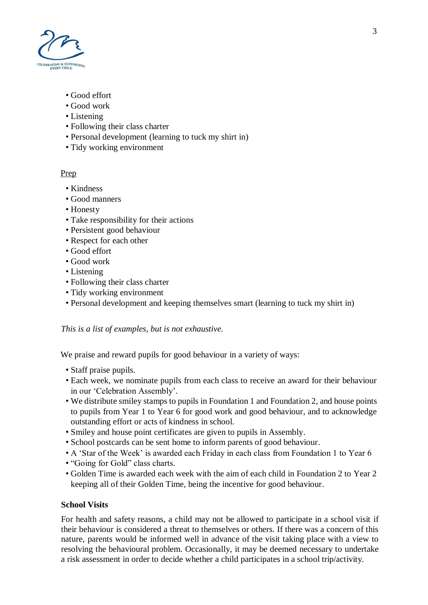

- Good effort
- Good work
- Listening
- Following their class charter
- Personal development (learning to tuck my shirt in)
- Tidy working environment

# Prep

- Kindness
- Good manners
- Honesty
- Take responsibility for their actions
- Persistent good behaviour
- Respect for each other
- Good effort
- Good work
- Listening
- Following their class charter
- Tidy working environment
- Personal development and keeping themselves smart (learning to tuck my shirt in)

# *This is a list of examples, but is not exhaustive.*

We praise and reward pupils for good behaviour in a variety of ways:

- Staff praise pupils.
- Each week, we nominate pupils from each class to receive an award for their behaviour in our 'Celebration Assembly'.
- We distribute smiley stamps to pupils in Foundation 1 and Foundation 2, and house points to pupils from Year 1 to Year 6 for good work and good behaviour, and to acknowledge outstanding effort or acts of kindness in school.
- Smiley and house point certificates are given to pupils in Assembly.
- School postcards can be sent home to inform parents of good behaviour.
- A 'Star of the Week' is awarded each Friday in each class from Foundation 1 to Year 6
- "Going for Gold" class charts.
- Golden Time is awarded each week with the aim of each child in Foundation 2 to Year 2 keeping all of their Golden Time, being the incentive for good behaviour.

# **School Visits**

For health and safety reasons, a child may not be allowed to participate in a school visit if their behaviour is considered a threat to themselves or others. If there was a concern of this nature, parents would be informed well in advance of the visit taking place with a view to resolving the behavioural problem. Occasionally, it may be deemed necessary to undertake a risk assessment in order to decide whether a child participates in a school trip/activity.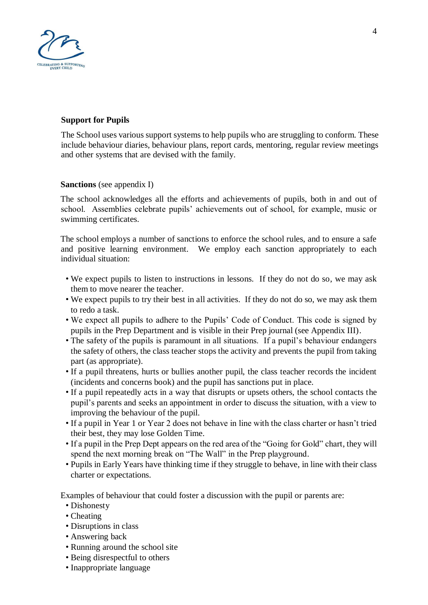

# **Support for Pupils**

The School uses various support systems to help pupils who are struggling to conform. These include behaviour diaries, behaviour plans, report cards, mentoring, regular review meetings and other systems that are devised with the family.

### **Sanctions** (see appendix I)

The school acknowledges all the efforts and achievements of pupils, both in and out of school. Assemblies celebrate pupils' achievements out of school, for example, music or swimming certificates.

The school employs a number of sanctions to enforce the school rules, and to ensure a safe and positive learning environment. We employ each sanction appropriately to each individual situation:

- We expect pupils to listen to instructions in lessons. If they do not do so, we may ask them to move nearer the teacher.
- We expect pupils to try their best in all activities. If they do not do so, we may ask them to redo a task.
- We expect all pupils to adhere to the Pupils' Code of Conduct. This code is signed by pupils in the Prep Department and is visible in their Prep journal (see Appendix III).
- The safety of the pupils is paramount in all situations. If a pupil's behaviour endangers the safety of others, the class teacher stops the activity and prevents the pupil from taking part (as appropriate).
- If a pupil threatens, hurts or bullies another pupil, the class teacher records the incident (incidents and concerns book) and the pupil has sanctions put in place.
- If a pupil repeatedly acts in a way that disrupts or upsets others, the school contacts the pupil's parents and seeks an appointment in order to discuss the situation, with a view to improving the behaviour of the pupil.
- If a pupil in Year 1 or Year 2 does not behave in line with the class charter or hasn't tried their best, they may lose Golden Time.
- If a pupil in the Prep Dept appears on the red area of the "Going for Gold" chart, they will spend the next morning break on "The Wall" in the Prep playground.
- Pupils in Early Years have thinking time if they struggle to behave, in line with their class charter or expectations.

Examples of behaviour that could foster a discussion with the pupil or parents are:

- Dishonesty
- Cheating
- Disruptions in class
- Answering back
- Running around the school site
- Being disrespectful to others
- Inappropriate language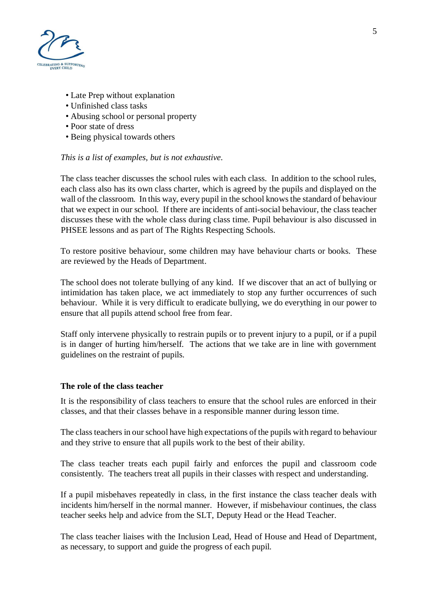

- Late Prep without explanation
- Unfinished class tasks
- Abusing school or personal property
- Poor state of dress
- Being physical towards others

### *This is a list of examples, but is not exhaustive.*

The class teacher discusses the school rules with each class. In addition to the school rules, each class also has its own class charter, which is agreed by the pupils and displayed on the wall of the classroom. In this way, every pupil in the school knows the standard of behaviour that we expect in our school. If there are incidents of anti-social behaviour, the class teacher discusses these with the whole class during class time. Pupil behaviour is also discussed in PHSEE lessons and as part of The Rights Respecting Schools.

To restore positive behaviour, some children may have behaviour charts or books. These are reviewed by the Heads of Department.

The school does not tolerate bullying of any kind. If we discover that an act of bullying or intimidation has taken place, we act immediately to stop any further occurrences of such behaviour. While it is very difficult to eradicate bullying, we do everything in our power to ensure that all pupils attend school free from fear.

Staff only intervene physically to restrain pupils or to prevent injury to a pupil, or if a pupil is in danger of hurting him/herself. The actions that we take are in line with government guidelines on the restraint of pupils.

### **The role of the class teacher**

It is the responsibility of class teachers to ensure that the school rules are enforced in their classes, and that their classes behave in a responsible manner during lesson time.

The class teachers in our school have high expectations of the pupils with regard to behaviour and they strive to ensure that all pupils work to the best of their ability.

The class teacher treats each pupil fairly and enforces the pupil and classroom code consistently. The teachers treat all pupils in their classes with respect and understanding.

If a pupil misbehaves repeatedly in class, in the first instance the class teacher deals with incidents him/herself in the normal manner. However, if misbehaviour continues, the class teacher seeks help and advice from the SLT, Deputy Head or the Head Teacher.

The class teacher liaises with the Inclusion Lead, Head of House and Head of Department, as necessary, to support and guide the progress of each pupil.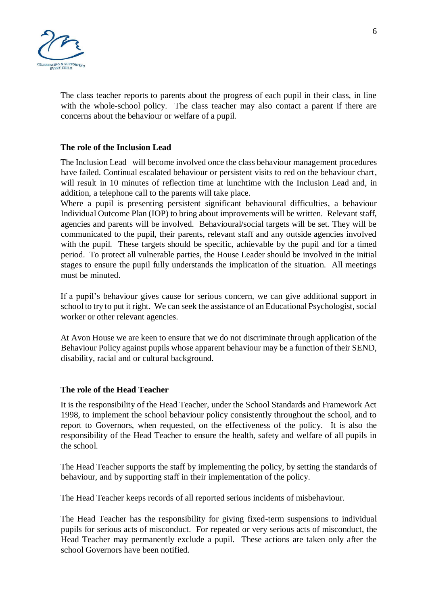

The class teacher reports to parents about the progress of each pupil in their class, in line with the whole-school policy. The class teacher may also contact a parent if there are concerns about the behaviour or welfare of a pupil.

## **The role of the Inclusion Lead**

The Inclusion Lead will become involved once the class behaviour management procedures have failed. Continual escalated behaviour or persistent visits to red on the behaviour chart, will result in 10 minutes of reflection time at lunchtime with the Inclusion Lead and, in addition, a telephone call to the parents will take place.

Where a pupil is presenting persistent significant behavioural difficulties, a behaviour Individual Outcome Plan (IOP) to bring about improvements will be written. Relevant staff, agencies and parents will be involved. Behavioural/social targets will be set. They will be communicated to the pupil, their parents, relevant staff and any outside agencies involved with the pupil. These targets should be specific, achievable by the pupil and for a timed period. To protect all vulnerable parties, the House Leader should be involved in the initial stages to ensure the pupil fully understands the implication of the situation. All meetings must be minuted.

If a pupil's behaviour gives cause for serious concern, we can give additional support in school to try to put it right. We can seek the assistance of an Educational Psychologist, social worker or other relevant agencies.

At Avon House we are keen to ensure that we do not discriminate through application of the Behaviour Policy against pupils whose apparent behaviour may be a function of their SEND, disability, racial and or cultural background.

### **The role of the Head Teacher**

It is the responsibility of the Head Teacher, under the School Standards and Framework Act 1998, to implement the school behaviour policy consistently throughout the school, and to report to Governors, when requested, on the effectiveness of the policy. It is also the responsibility of the Head Teacher to ensure the health, safety and welfare of all pupils in the school.

The Head Teacher supports the staff by implementing the policy, by setting the standards of behaviour, and by supporting staff in their implementation of the policy.

The Head Teacher keeps records of all reported serious incidents of misbehaviour.

The Head Teacher has the responsibility for giving fixed-term suspensions to individual pupils for serious acts of misconduct. For repeated or very serious acts of misconduct, the Head Teacher may permanently exclude a pupil. These actions are taken only after the school Governors have been notified.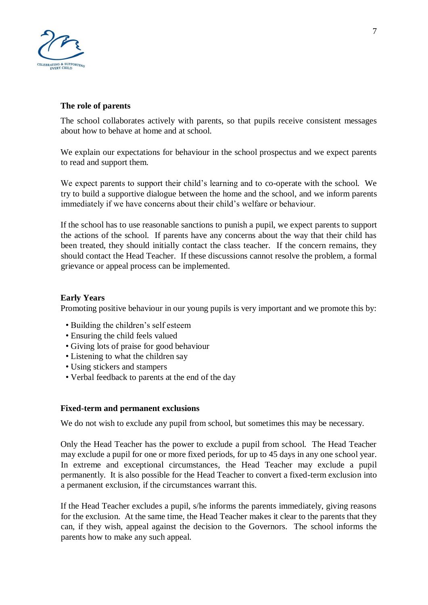

## **The role of parents**

The school collaborates actively with parents, so that pupils receive consistent messages about how to behave at home and at school.

We explain our expectations for behaviour in the school prospectus and we expect parents to read and support them.

We expect parents to support their child's learning and to co-operate with the school. We try to build a supportive dialogue between the home and the school, and we inform parents immediately if we have concerns about their child's welfare or behaviour.

If the school has to use reasonable sanctions to punish a pupil, we expect parents to support the actions of the school. If parents have any concerns about the way that their child has been treated, they should initially contact the class teacher. If the concern remains, they should contact the Head Teacher. If these discussions cannot resolve the problem, a formal grievance or appeal process can be implemented.

## **Early Years**

Promoting positive behaviour in our young pupils is very important and we promote this by:

- Building the children's self esteem
- Ensuring the child feels valued
- Giving lots of praise for good behaviour
- Listening to what the children say
- Using stickers and stampers
- Verbal feedback to parents at the end of the day

### **Fixed-term and permanent exclusions**

We do not wish to exclude any pupil from school, but sometimes this may be necessary.

Only the Head Teacher has the power to exclude a pupil from school. The Head Teacher may exclude a pupil for one or more fixed periods, for up to 45 days in any one school year. In extreme and exceptional circumstances, the Head Teacher may exclude a pupil permanently. It is also possible for the Head Teacher to convert a fixed-term exclusion into a permanent exclusion, if the circumstances warrant this.

If the Head Teacher excludes a pupil, s/he informs the parents immediately, giving reasons for the exclusion. At the same time, the Head Teacher makes it clear to the parents that they can, if they wish, appeal against the decision to the Governors. The school informs the parents how to make any such appeal.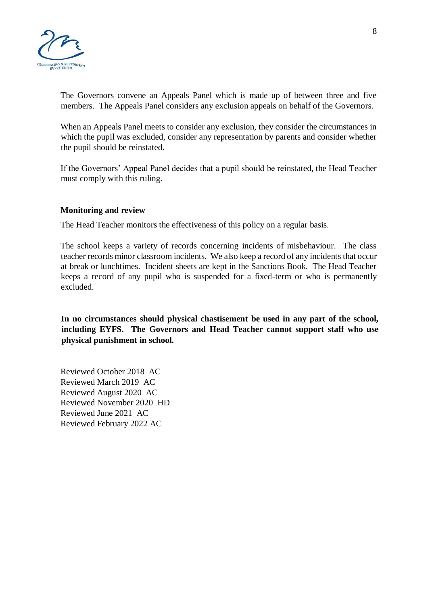

The Governors convene an Appeals Panel which is made up of between three and five members. The Appeals Panel considers any exclusion appeals on behalf of the Governors.

When an Appeals Panel meets to consider any exclusion, they consider the circumstances in which the pupil was excluded, consider any representation by parents and consider whether the pupil should be reinstated.

If the Governors' Appeal Panel decides that a pupil should be reinstated, the Head Teacher must comply with this ruling.

## **Monitoring and review**

The Head Teacher monitors the effectiveness of this policy on a regular basis.

The school keeps a variety of records concerning incidents of misbehaviour. The class teacher records minor classroom incidents. We also keep a record of any incidents that occur at break or lunchtimes. Incident sheets are kept in the Sanctions Book. The Head Teacher keeps a record of any pupil who is suspended for a fixed-term or who is permanently excluded.

**In no circumstances should physical chastisement be used in any part of the school, including EYFS. The Governors and Head Teacher cannot support staff who use physical punishment in school.** 

Reviewed October 2018 AC Reviewed March 2019 AC Reviewed August 2020 AC Reviewed November 2020 HD Reviewed June 2021 AC Reviewed February 2022 AC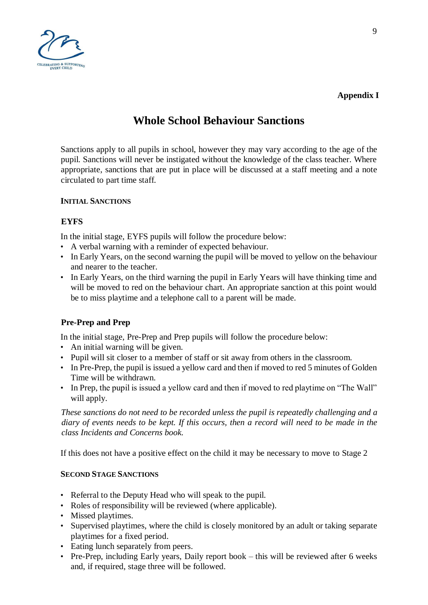

# **Appendix I**

# **Whole School Behaviour Sanctions**

Sanctions apply to all pupils in school, however they may vary according to the age of the pupil. Sanctions will never be instigated without the knowledge of the class teacher. Where appropriate, sanctions that are put in place will be discussed at a staff meeting and a note circulated to part time staff.

# **INITIAL SANCTIONS**

## **EYFS**

In the initial stage, EYFS pupils will follow the procedure below:

- A verbal warning with a reminder of expected behaviour.
- In Early Years, on the second warning the pupil will be moved to yellow on the behaviour and nearer to the teacher.
- In Early Years, on the third warning the pupil in Early Years will have thinking time and will be moved to red on the behaviour chart. An appropriate sanction at this point would be to miss playtime and a telephone call to a parent will be made.

# **Pre-Prep and Prep**

In the initial stage, Pre-Prep and Prep pupils will follow the procedure below:

- An initial warning will be given.
- Pupil will sit closer to a member of staff or sit away from others in the classroom.
- In Pre-Prep, the pupil is issued a yellow card and then if moved to red 5 minutes of Golden Time will be withdrawn.
- In Prep, the pupil is issued a yellow card and then if moved to red playtime on "The Wall" will apply.

*These sanctions do not need to be recorded unless the pupil is repeatedly challenging and a diary of events needs to be kept. If this occurs, then a record will need to be made in the class Incidents and Concerns book.* 

If this does not have a positive effect on the child it may be necessary to move to Stage 2

### **SECOND STAGE SANCTIONS**

- Referral to the Deputy Head who will speak to the pupil.
- Roles of responsibility will be reviewed (where applicable).
- Missed playtimes.
- Supervised playtimes, where the child is closely monitored by an adult or taking separate playtimes for a fixed period.
- Eating lunch separately from peers.
- Pre-Prep, including Early years, Daily report book this will be reviewed after 6 weeks and, if required, stage three will be followed.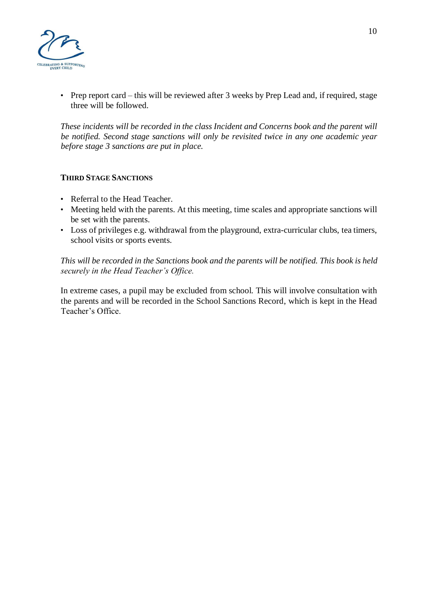

• Prep report card – this will be reviewed after 3 weeks by Prep Lead and, if required, stage three will be followed.

*These incidents will be recorded in the class Incident and Concerns book and the parent will be notified. Second stage sanctions will only be revisited twice in any one academic year before stage 3 sanctions are put in place.*

### **THIRD STAGE SANCTIONS**

- Referral to the Head Teacher.
- Meeting held with the parents. At this meeting, time scales and appropriate sanctions will be set with the parents.
- Loss of privileges e.g. withdrawal from the playground, extra-curricular clubs, tea timers, school visits or sports events.

*This will be recorded in the Sanctions book and the parents will be notified. This book is held securely in the Head Teacher's Office.* 

In extreme cases, a pupil may be excluded from school. This will involve consultation with the parents and will be recorded in the School Sanctions Record, which is kept in the Head Teacher's Office.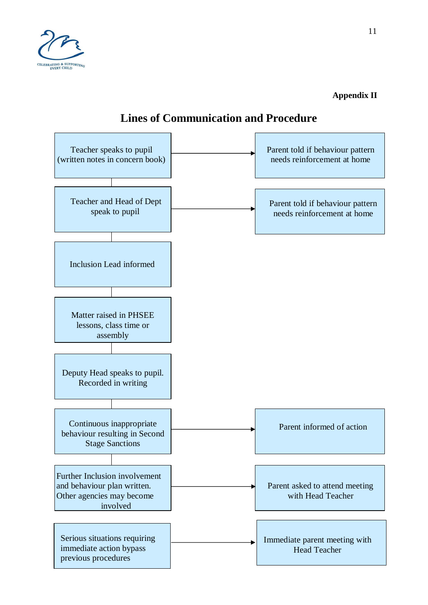

**Appendix II** 



# **Lines of Communication and Procedure**